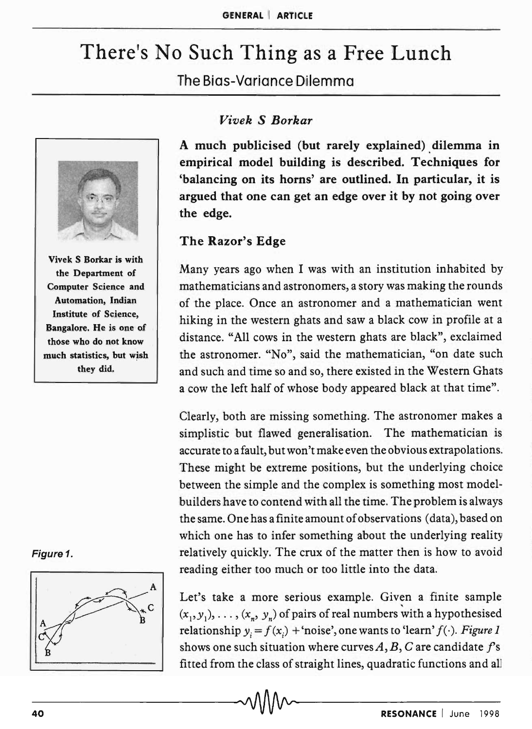# There's No Such Thing as a Free Lunch

The Bias-Variance Dilemma



Vivek S Borkar is with the Department of Computer Science and Automation, Indian Institute of Science, Bangalore. He is one of those who do not know much statistics, but wish they did.

#### Figure 1.



### *Vivek S Borkar*

A much publicised (but rarely explained). dilemma in empirical model building is described. Techniques for 'balancing on its horns' are outlined. In particular, it is argued that one can get an edge over it by not going over the edge.

## The Razor's Edge

Many years ago when I was with an institution inhabited by mathematicians and astronomers, a story was making the rounds of the place. Once an astronomer and a mathematician went hiking in the western ghats and saw a black cow in profile at a distance. "All cows in the western ghats are black", exclaimed the astronomer. "No", said the mathematician, "on date such and such and time so and so, there existed in the Western Ghats a cow the left half of whose body appeared black at that time".

Clearly, both are missing something. The astronomer makes a simplistic but flawed generalisation. The mathematician is accurate to a fault, but won't make even the obvious extrapolations. These might be extreme positions, but the underlying choice between the simple and the complex is something most model· builders have to contend with all the time. The problem is always the same. One has a finite amount of observations (data), based on which one has to infer something about the underlying reality relatively quickly. The crux of the matter then is how to avoid reading either too much or too little into the data.

Let's take a more serious example. Given a finite sample  $(x_1, y_1), \ldots, (x_n, y_n)$  of pairs of real numbers with a hypothesised relationship  $y_i = f(x_i) + \text{noise}$ , one wants to 'learn'  $f(\cdot)$ . *Figure 1* shows one such situation where curves  $A, B, C$  are candidate  $f$ 's fitted from the class of straight lines, quadratic functions and all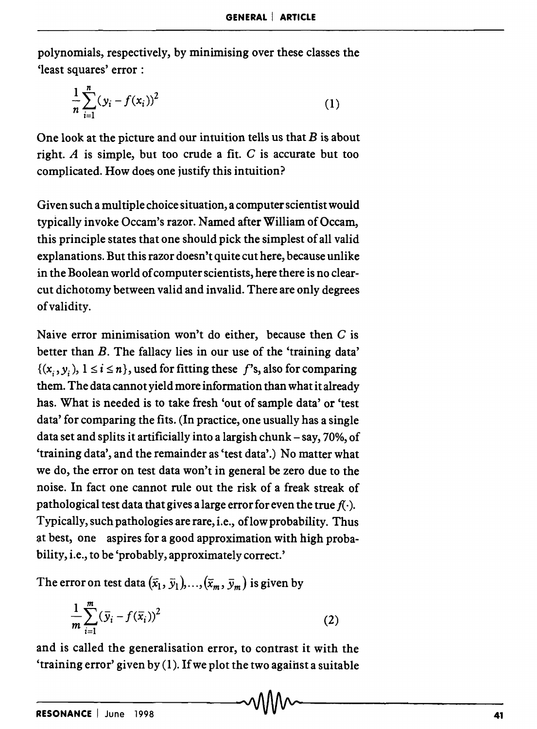polynomials, respectively, by minimising over these classes the 'least squares' error :

$$
\frac{1}{n}\sum_{i=1}^{n}(y_i - f(x_i))^2
$$
 (1)

One look at the picture and our intuition tells us that *B* is about right. *A* is simple, but too crude a fit. C is accurate but too complicated. How does one justify this intuition?

Given such a multiple choice situation, a computer scientist would typically invoke Occam's razor. Named after William of Occam, this principle states that one should pick the simplest of all valid explanations. But this razor doesn't quite cut here, because unlike in the Boolean world of computer scientists, here there is no clearcut dichotomy between valid and invalid. There are only degrees of validity.

Naive error minimisation won't do either, because then  $C$  is better than B. The fallacy lies in our use of the 'training data'  $\{(x_i, y_i), 1 \le i \le n\}$ , used for fitting these  $f$ 's, also for comparing them. The data cannot yield more information than what it already has. What is needed is to take fresh 'out of sample data' or 'test data' for comparing the fits. (In practice, one usually has a single data set and splits it artificially into a largish chunk – say, 70%, of 'training data', and the remainder as 'test data'.) No matter what we do, the error on test data won't in general be zero due to the noise. In fact one cannot rule out the risk of a freak streak of pathological test data that gives a large error for even the true  $f(\cdot)$ . Typically, such pathologies are rare, i.e., oflow probability. Thus at best, one aspires for a good approximation with high probability, i.e., to be 'probably, approximately correct.'

The error on test data  $(\bar{x}_1, \bar{y}_1), ..., (\bar{x}_m, \bar{y}_m)$  is given by

$$
\frac{1}{m}\sum_{i=1}^{m}(\bar{y}_i - f(\bar{x}_i))^2
$$
\n(2)

and is called the generalisation error, to contrast it with the 'training error' given by  $(1)$ . If we plot the two against a suitable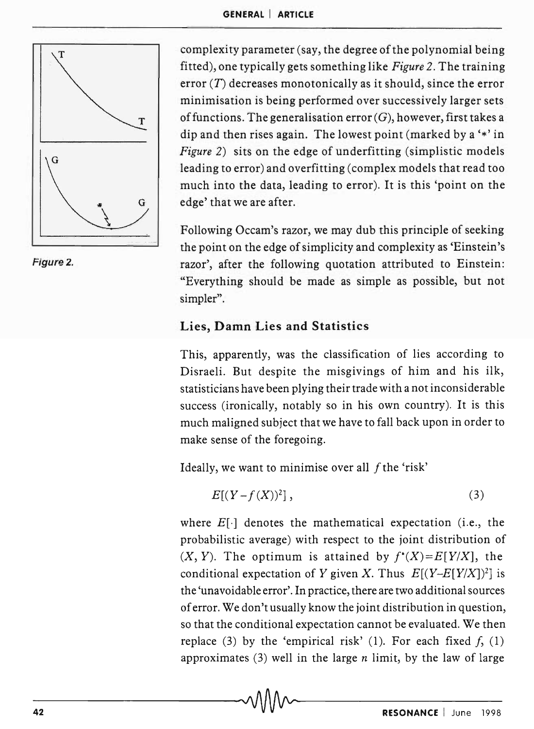

Figure 2.

complexity parameter (say, the degree of the polynomial being fitted), one typically gets something like *Figure* 2. The training error  $(T)$  decreases monotonically as it should, since the error minimisation is being performed over successively larger sets of functions. The generalisation error  $(G)$ , however, first takes a dip and then rises again. The lowest point (marked by a '\*' in *Figure* 2) sits on the edge of underfitting (simplistic models leading to error) and overfitting (complex models that read too much into the data, leading to error). It is this 'point on the  $G \parallel$  edge' that we are after.

> Following Occam's razor, we may dub this principle of seeking the point on the edge of simplicity and complexity as 'Einstein's razor', after the following quotation attributed to Einstein: "Everything should be made as simple as possible, but not simpler".

# Lies, Damn Lies and Statistics

This, apparently, was the classification of lies according to Disraeli. But despite the misgivings of him and his ilk, statisticians have been plying their trade with a not inconsiderable success (ironically, notably so in his own country). It is this much maligned subject that we have to fall back upon in order to make sense of the foregoing.

Ideally, we want to minimise over all  $f$  the 'risk'

$$
E[(Y - f(X))^2],\tag{3}
$$

where  $E[\cdot]$  denotes the mathematical expectation (i.e., the probabilistic average) with respect to the joint distribution of  $(X, Y)$ . The optimum is attained by  $f^*(X) = E[Y/X]$ , the conditional expectation of Y given X. Thus  $E[(Y-E[Y/X])^2]$  is the 'unavoidable error'. In practice, there are two additional sources of error. We don't usually know the joint distribution in question, so that the conditional expectation cannot be evaluated. We then replace (3) by the 'empirical risk' (1). For each fixed  $f<sub>1</sub>$  (1) approximates  $(3)$  well in the large *n* limit, by the law of large \_\_\_\_\_\_\_\_ "~AAA~. \_\_\_\_\_\_ \_\_ <sup>42</sup>v V V V V v RESONANCE I June 1998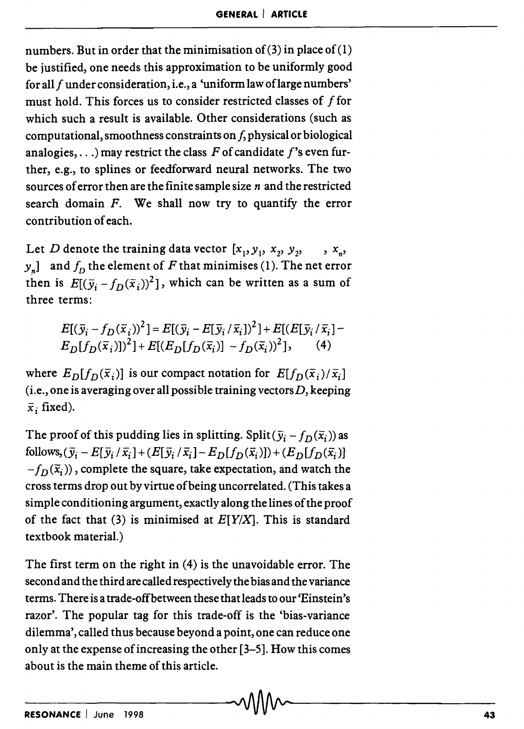numbers. But in order that the minimisation of (3) in place of (1) be justified, one needs this approximation to be uniformly good for all f under consideration, i.e., a 'uniform law oflarge numbers' must hold. This forces us to consider restricted classes of  $f$  for which such a result is available. Other considerations (such as computational, smoothness constraints on  $f$ , physical or biological analogies, ... ) may restrict the class  $F$  of candidate  $f$ 's even further, e.g., to splines or feedforward neural networks. The two sources of error then are the fini te sample size *n* and the restricted search domain  $F$ . We shall now try to quantify the error contribution of each.

Let *D* denote the training data vector  $[x_1, y_1, x_2, y_2, ..., x_n,$  $y_n$ ] and  $f_D$  the element of F that minimises (1). The net error then is  $E[(\bar{y}_i - f_D(\bar{x}_i))^2]$ , which can be written as a sum of three terms:

$$
E[(\bar{y}_i - f_D(\bar{x}_i))^2] = E[(\bar{y}_i - E[\bar{y}_i/\bar{x}_i])^2] + E[(E[\bar{y}_i/\bar{x}_i] - E_D[f_D(\bar{x}_i)])^2] + E[(E_D[f_D(\bar{x}_i)] - f_D(\bar{x}_i))^2], \quad (4)
$$

where  $E_D[f_D(\bar{x}_i)]$  is our compact notation for  $E[f_D(\bar{x}_i)/\bar{x}_i]$ (i.e., one is averaging over all possible training vectors  $D$ , keeping  $\bar{x}$ , fixed).

The proof of this pudding lies in splitting. Split  $(\bar{y}_i - f_D(\bar{x}_i))$  as  $f_{0}$  $f_{0}$  $f_{0}$  $\overline{y}_{i}$   $- E[\bar{y}_{i} / \bar{x}_{i}] + (E[\bar{y}_{i} / \bar{x}_{i}] - E_{D}[f_{D}(\bar{x}_{i})]) + (E_{D}[f_{D}(\bar{x}_{i})])$  $-f_D(\bar{x}_i)$ , complete the square, take expectation, and watch the cross terms drop out by virtue of being uncorrelated. (This takes a simple conditioning argument, exactly along the lines of the proof of the fact that (3) is minimised at  $E[Y/X]$ . This is standard textbook material.)

The first term on the right in (4) is the unavoidable error. The second and the third are called respectively the bias and the variance terms. There is a trade-offbetween these that leads to our 'Einstein's razor'. The popular tag for this trade-off is the 'bias-variance dilemma', called thus because beyond a point, one can reduce one only at the expense of increasing the other [3-5]. How this comes about is the main theme of this article.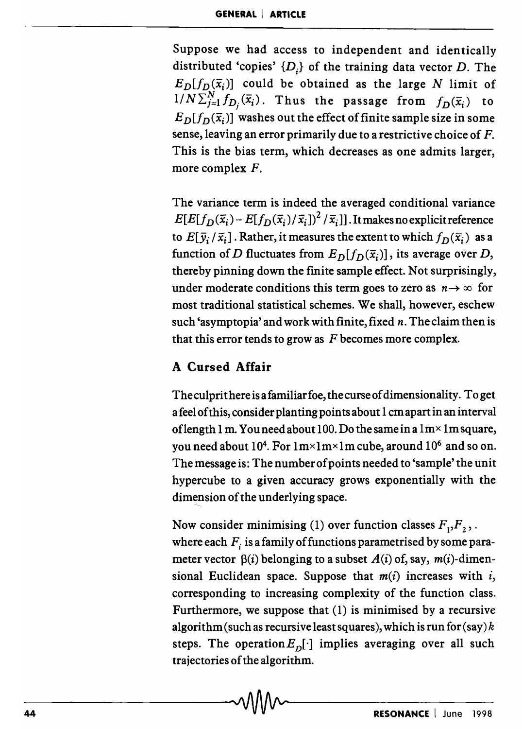Suppose we had access to independent and identically distributed 'copies'  $\{D_i\}$  of the training data vector D. The  $E_D[f_D(\bar{x}_i)]$  could be obtained as the large *N* limit of  $1/N \sum_{j=1}^{N} f_{D_j}(\bar{x}_i)$ . Thus the passage from  $f_D(\bar{x}_i)$  to  $E_D[f_D(\vec{x}_i)]$  washes out the effect of finite sample size in some sense, leaving an error primarily due to a restrictive choice of F. This is the bias term, which decreases as one admits larger, more complex F.

The variance term is indeed the averaged conditional variance  $E[E[f_D(\bar{x}_i) - E[f_D(\bar{x}_i)/\bar{x}_i])^2/\bar{x}_i]]$ . It makes no explicit reference to  $E[\bar{y}_i/\bar{x}_i]$ . Rather, it measures the extent to which  $f_D(\bar{x}_i)$  as a function of D fluctuates from  $E_D[f_D(\bar{x}_i)]$ , its average over D, thereby pinning down the finite sample effect. Not surprisingly, under moderate conditions this term goes to zero as  $n \rightarrow \infty$  for most traditional statistical schemes. We shall, however, eschew such 'asymptopia' and work with finite, fixed *n.* The claim then is that this error tends to grow as *F* becomes more complex.

# **A Cursed Affair**

The culprit here is a familiar foe, the curse of dimensionality. To get a feel of this, consider planting points about 1 cm apart in an interval of length 1 m. You need about 100. Do the same in a  $1m \times 1m$  square, you need about  $10^4$ . For  $1m \times 1m \times 1m$  cube, around  $10^6$  and so on. The message is: The number of points needed to 'sample' the unit hypercube to a given accuracy grows exponentially with the dimension of the underlying space.

Now consider minimising (1) over function classes  $F_1, F_2, \ldots$ where each  $F_i$  is a family of functions parametrised by some parameter vector  $\beta(i)$  belonging to a subset  $A(i)$  of, say,  $m(i)$ -dimensional Euclidean space. Suppose that  $m(i)$  increases with i, corresponding to increasing complexity of the function class. Furthermore, we suppose that (1) is minimised by a recursive algorithm (such as recursive least squares), which is run for (say) *k*  steps. The operation  $E_{\text{D}}[\cdot]$  implies averaging over all such trajectories of the algorithm.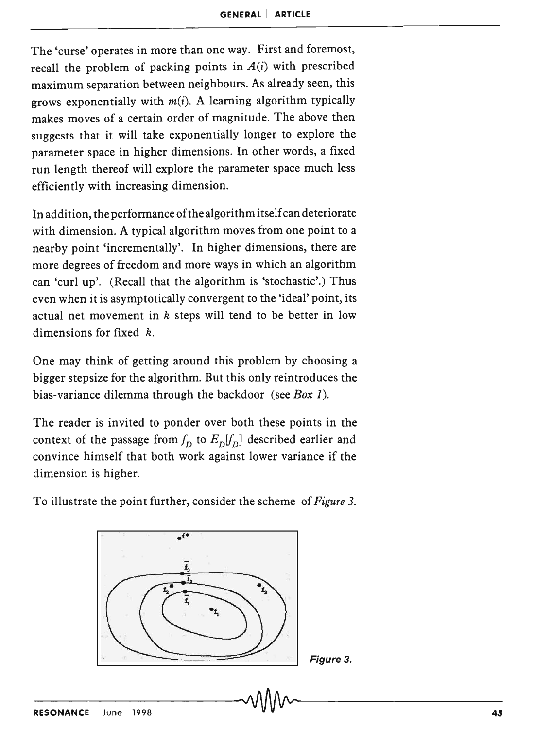The 'curse' operates in more than one way. First and foremost, recall the problem of packing points in  $A(i)$  with prescribed maximum separation between neighbours. As already seen, this grows exponentially with  $m(i)$ . A learning algorithm typically makes moves of a certain order of magnitude. The above then suggests that it will take exponentially longer to explore the parameter space in higher dimensions. In other words, a fixed run length thereof will explore the parameter space much less efficiently with increasing dimension.

In addition, the performance of the algorithm itself can deteriorate with dimension. A typical algorithm moves from one point to a nearby point 'incrementally'. In higher dimensions, there are more degrees of freedom and more ways in which an algorithm can 'curl up'. (Recall that the algorithm is 'stochastic'.) Thus even when it is asymptotically convergent to the 'ideal' point, its actual net movement in *k* steps will tend to be better in low dimensions for fixed k.

One may think of getting around this problem by choosing a bigger stepsize for the algorithm. But this only reintroduces the bias-variance dilemma through the backdoor (see *Box 1).* 

The reader is invited to ponder over both these points in the context of the passage from  $f_D$  to  $E_D[f_D]$  described earlier and convince himself that both work against lower variance if the dimension is higher.

To illustrate the point further, consider the scheme of *Figure 3.* 

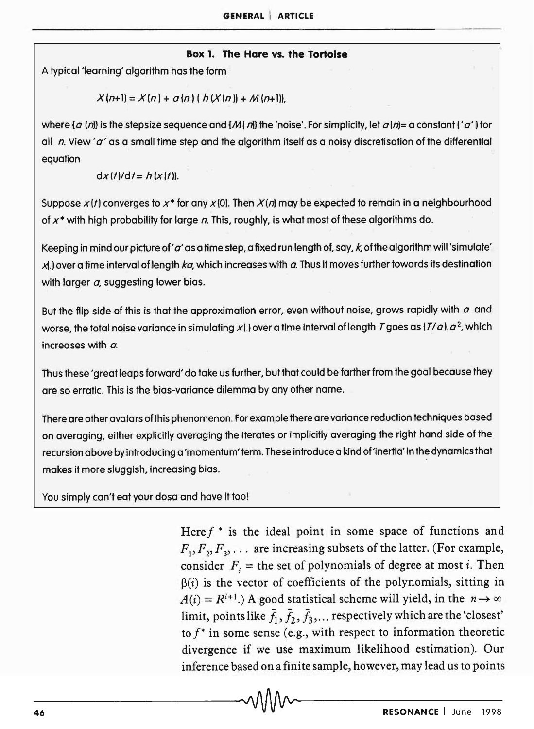#### **Box 1. The Hare vs. the Tortoise**

A typical 'learning' algorithm has the form

$$
X(n+1) = X(n) + a(n) (h(X(n)) + M(n+1)),
$$

where {a (n)} is the stepsize sequence and { $M$ (n)} the 'noise'. For simplicity, let  $a(n)$ = a constant ('a') for all *n*. View 'a' as a small time step and the algorithm itself as a noisy discretisation of the differential equation

$$
dx(t)/dt=h(x(t)).
$$

Suppose  $x(t)$  converges to  $x^*$  for any  $x(0)$ . Then  $x(n)$  may be expected to remain in a neighbourhood of *x·* with high probability for large *n.* This, roughly, is what most of these algorithms do.

Keeping in mind our picture of 'a' as a time step, a fixed run length of, say, *k*, of the algorithm will 'simulate' ~.) over a time interval of length *kG,* which increases with *a.* Thus it moves further towards its destination with larger  $a$ , suggesting lower bias.

But the flip side of this is that the approximation error, even without noise, grows rapidly with  $a$  and worse, the total noise variance in simulating  $x$  (.) over a time interval of length  $\it {T}$  goes as ( $\it {T/a}$ ).  $\it {a^2},$  which increases with *a.* 

Thus these 'great leaps forward' do take us further, but that could be farther from the goal because they are so erratic. This is the bias-variance dilemma by any other name.

There are other avatars ofthis phenomenon. For example there are variance reduction techniques based on averaging, either explicitly averaging the iterates or implicitly averaging the right hand side of the recursion above by introducing a 'momentum' term. These introduce a kind of 'inertia' in the dynamics that makes it more sluggish, increasing bias.

You simply can't eat your dosa and have it too!

Here  $f^*$  is the ideal point in some space of functions and  $F_1, F_2, F_3, \ldots$  are increasing subsets of the latter. (For example, consider  $F_i$  = the set of polynomials of degree at most *i*. Then  $\beta(i)$  is the vector of coefficients of the polynomials, sitting in  $A(i) = R^{i+1}$ .) A good statistical scheme will yield, in the  $n \to \infty$ limit, points like  $\bar{f}_1, \bar{f}_2, \bar{f}_3, \ldots$  respectively which are the 'closest' to *f\** in some sense (e.g., with respect to information theoretic divergence if we use maximum likelihood estimation). Our inference based on a finite sample, however, may lead us to points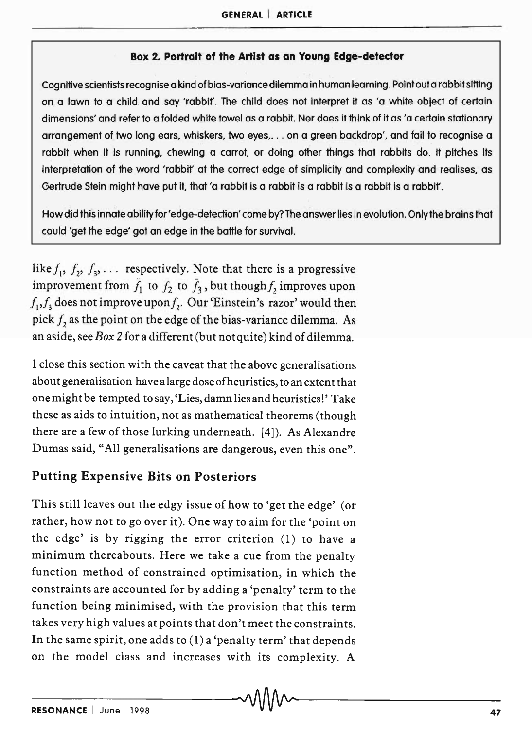#### Box 2. Portrait of the Artist as an Young Edge-detector

Cognitive scientists recognise a kind of bias-variance dilemma in human learning. Pointout d rabbit sitting on a lawn to a child and say 'rabbif. The child does not interpret it as 'a white object of certain dimensions' and refer to a folded white towel as a rabbit. Nor does it think of it as 'a certain stationary arrangement of two long ears, whiskers, two eyes, ... on a green backdrop', and fail to recognise a rabbit when it is running, chewing a carrot, or doing other things that rabbits do. It pitches its interpretation of the word 'rabbit' at the correct edge of simplicity and complexity and realises, as Gertrude Stein might have put it, that 'a rabbit is a rabbit is a rabbit is a rabbit is a rabbit.

How did this innate ability for 'edge-detection' come by? The answer lies in evolution. Only the brains that could 'get the edge' got an edge in the bottle for survival.

like  $f_1$ ,  $f_2$ ,  $f_3$ , ... respectively. Note that there is a progressive improvement from  $f_1$  to  $f_2$  to  $f_3$ , but though  $f_2$  improves upon  $f_1, f_3$  does not improve upon  $f_2$ . Our 'Einstein's razor' would then pick  $f<sub>2</sub>$  as the point on the edge of the bias-variance dilemma. As an aside, see *Box* 2 for a different (but not quite) kind of dilemma.

I close this section with the caveat that the above generalisations about generalisation havealargedoseofheuristics, to an extent that one might be tempted to say, 'Lies, damn lies and heuristics!' Take these as aids to intuition, not as mathematical theorems (though there are a few of those lurking underneath.  $[4]$ ). As Alexandre Dumas said, "All generalisations are dangerous, even this one".

# Putting Expensive Bits on Posteriors

This still leaves out the edgy issue of how to 'get the edge' (or rather, how not to go over it). One way to aim for the 'point on the edge' is by rigging the error criterion (1) to have a minimum thereabouts. Here we take a cue from the penalty function method of constrained optimisation, in which the constraints are accounted for by adding a 'penalty' term to the function being minimised, with the provision that this term takes very high values at points that don't meet the constraints. In the same spirit, one adds to (1) a 'penalty term' that depends on the model class and increases with its complexity. A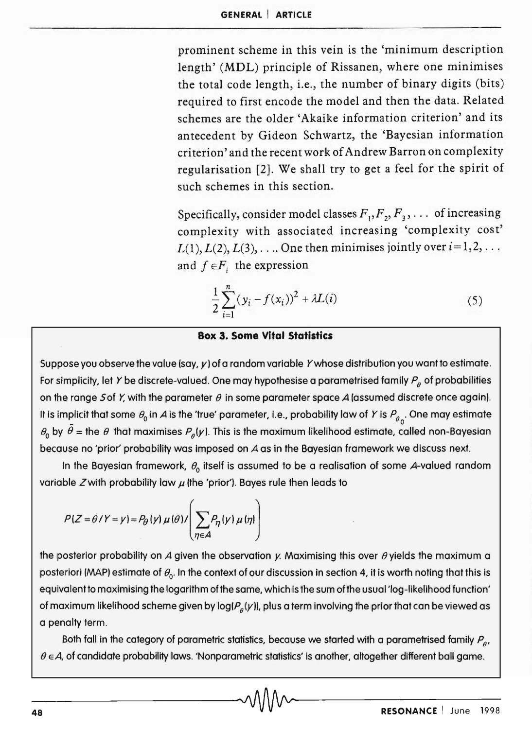prominent scheme in this vein is the 'minimum description length' (MDL) principle of Rissanen, where one minimises the total code length, i.e., the number of binary digits (bits) required to first encode the model and then the data. Related schemes are the older 'Akaike information criterion' and its antecedent by Gideon Schwartz, the 'Bayesian information criterion' and the recent work of Andrew Barron on complexity regularisation [2]. We shall try to get a feel for the spirit of such schemes in this section.

Specifically, consider model classes  $F_1, F_2, F_3, \ldots$  of increasing complexity with associated increasing 'complexity cost'  $L(1), L(2), L(3), \ldots$  One then minimises jointly over  $i=1,2,\ldots$ and  $f \in F$ , the expression

$$
\frac{1}{2}\sum_{i=1}^{n}(y_i - f(x_i))^2 + \lambda L(i)
$$
 (5)

#### **Box 3. Some Vital Statistics**

Suppose you observe the value (say,  $y$ ) of a random variable Ywhose distribution you want to estimate. For simplicity, let *Y* be discrete-valued. One may hypothesise a parametrised family  $P_a$  of probabilities on the range 5 of *Y*, with the parameter  $\theta$  in some parameter space A (assumed discrete once again). It is implicit that some  $\theta_0$  in *A* is the 'true' parameter, i.e., probability law of *Y* is  $P_{\theta_0}$ . One may estimate  $\theta_0$  by  $\hat{\theta}$  = the  $\theta$  that maximises  $P_{\theta}$ (y). This is the maximum likelihood estimate, called non-Bayesian because no 'prior' probability was imposed on *A* as in the Bayesian framework we discuss next.

In the Bayesian framework,  $\theta_0$  itself is assumed to be a realisation of some A-valued random variable Zwith probability law  $\mu$  (the 'prior'). Bayes rule then leads to

$$
P(Z = \theta/Y = y) = P_{\theta}(y) \mu(\theta) / \left(\sum_{\eta \in A} P_{\eta}(y) \mu(\eta)\right)
$$

the posterior probability on A given the observation y. Maximising this over  $\theta$  yields the maximum a posteriori (MAP) estimate of  $\theta_0$ . In the context of our discussion in section 4, it is worth noting that this is equivalent to maximising the logarithm of the same, which is the sum of the usual 'log-likelihood function' of maximum likelihood scheme given by  $log(P_{\rho}(y))$ , plus a term involving the prior that can be viewed as a penalty term.

Both fall in the category of parametric statistics, because we started with a parametrised family  $P_{\rho}$ ,  $\theta \in A$ , of candidate probability laws. 'Nonparametric statistics' is another, altogether different ball game.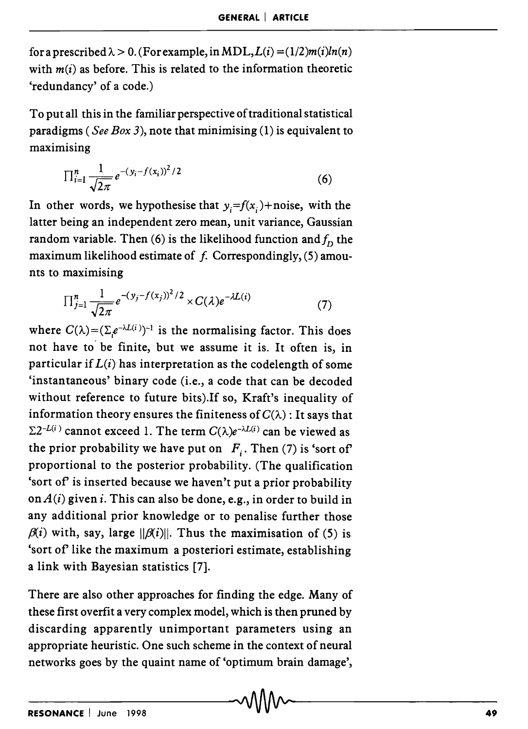for a prescribed  $\lambda > 0$ . (For example, in MDL,  $L(i) = (1/2)m(i)ln(n)$ with  $m(i)$  as before. This is related to the information theoretic 'redundancy' of a code.)

To put all this in the familiar perspective of traditional statistical paradigms *(See Box* 3), note that minimising (1) is equivalent to maximising

$$
\prod_{i=1}^{n} \frac{1}{\sqrt{2\pi}} e^{-(y_i - f(x_i))^2 / 2}
$$
 (6)

In other words, we hypothesise that  $y_i = f(x_i) + \text{noise}$ , with the latter being an independent zero mean, unit variance, Gaussian random variable. Then (6) is the likelihood function and  $f<sub>D</sub>$  the maximum likelihood estimate of  $f$ . Correspondingly, (5) amounts to maximising

$$
\prod_{j=1}^{n} \frac{1}{\sqrt{2\pi}} e^{-(y_j - f(x_j))^2/2} \times C(\lambda) e^{-\lambda L(i)}
$$
(7)

where  $C(\lambda) = (\sum e^{-\lambda L(i)})^{-1}$  is the normalising factor. This does not have to' be finite, but we assume it is. It often is, in particular if  $L(i)$  has interpretation as the codelength of some 'instantaneous' binary code (i.e., a code that can be decoded without reference to future bits).If so, Kraft's inequality of information theory ensures the finiteness of  $C(\lambda)$ : It says that  $\Sigma 2^{-L(i)}$  cannot exceed 1. The term  $C(\lambda)e^{-\lambda L(i)}$  can be viewed as the prior probability we have put on  $F_i$ . Then (7) is 'sort of' proportional to the posterior probability. (The qualification 'sort of' is inserted because we haven't put a prior probability on  $A(i)$  given i. This can also be done, e.g., in order to build in any additional prior knowledge or to penalise further those  $\beta(i)$  with, say, large  $||\beta(i)||$ . Thus the maximisation of (5) is 'sort of' like the maximum a posteriori estimate, establishing a link with Bayesian statistics [7].

There are also other approaches for finding the edge. Many of these first overfit a very complex model, which is then pruned by discarding apparently unimportant parameters using an appropriate heuristic. One such scheme in the context of neural networks goes by the quaint name of 'optimum brain damage',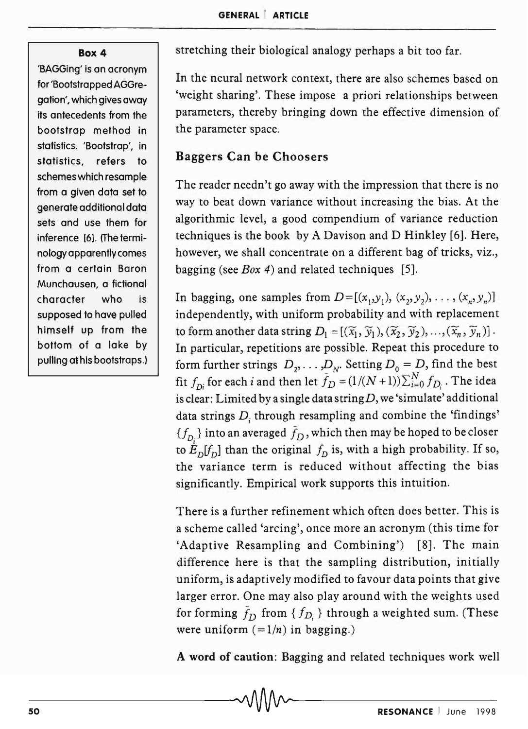#### Box 4

'BAGGing' is an acronym for 'Bootstrapped AGGregation', which gives away its antecedents from the bootstrap method in statistics. 'Bootstrap', in statistics, refers to schemes which resample from a given data set to generate additional data sets and use them for inference (6]. (The terminology apparently comes from a certain Baron Munchausen, a fictional character who is supposed to have pulled himself up from the bottom of a lake by pulling at his bootstraps.) stretching their biological analogy perhaps a bit too far.

In the neural network context, there are also schemes based on 'weight sharing'. These impose a priori relationships between parameters, thereby bringing down the effective dimension of the parameter space.

# Baggers Can be Choosers

The reader needn't go away with the impression that there is no way to beat down variance without increasing the bias. At the algorithmic level, a good compendium of variance reduction techniques is the book by A Davison and D Hinkley [6]. Here, however, we shall concentrate on a different bag of tricks, viz., bagging (see *Box* 4) and related techniques [5].

In bagging, one samples from  $D = [(x_1, y_1), (x_2, y_2), \dots, (x_n, y_n)]$ independently, with uniform probability and with replacement to form another data string  $D_1 = [(\widetilde{x}_1, \widetilde{y}_1), (\widetilde{x}_2, \widetilde{y}_2), ..., (\widetilde{x}_n, \widetilde{y}_n)]$ . In particular, repetitions are possible. Repeat this procedure to form further strings  $D_2, \ldots, D_N$ . Setting  $D_0 = D$ , find the best fit  $f_{D_i}$  for each *i* and then let  $\bar{f}_D = (1/(N+1))\sum_{i=0}^{N} f_{D_i}$ . The idea is clear: Limited by a single data string  $D$ , we 'simulate' additional data strings *D<sub>i</sub>* through resampling and combine the 'findings'  ${f_{D}}$  into an averaged  $\bar{f}_{D}$ , which then may be hoped to be closer to  $E_p[f_p]$  than the original  $f_p$  is, with a high probability. If so, the variance term is reduced without affecting the bias significantly. Empirical work supports this intuition.

There is a further refinement which often does better. This is a scheme called 'arcing', once more an acronym (this time for 'Adaptive Resampling and Combining') [8]. The main difference here is that the sampling distribution, initially uniform, is adaptively modified to favour data points that give larger error. One may also play around with the weights used for forming  $\bar{f}_D$  from  $\{f_{D_i}\}\$  through a weighted sum. (These were uniform  $( = 1/n)$  in bagging.)

A word of caution: Bagging and related techniques work well